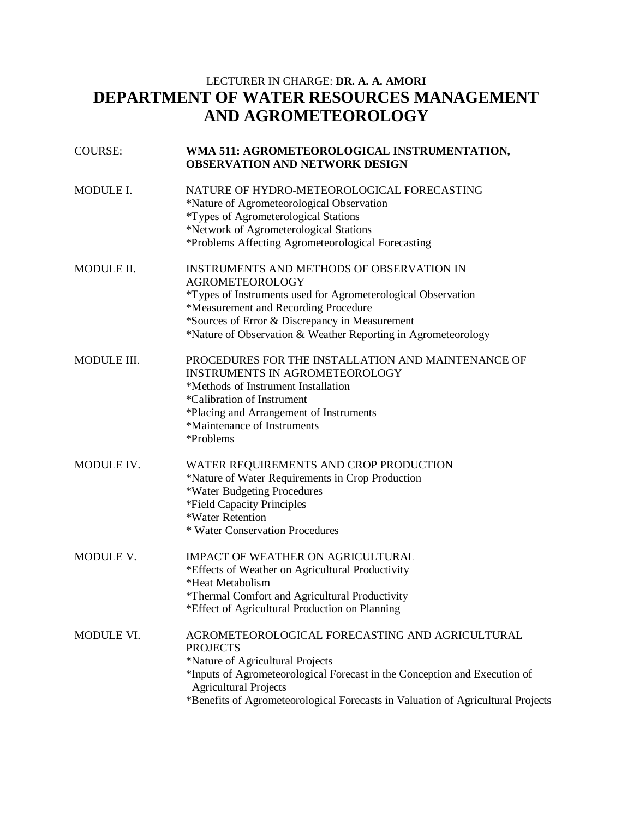## LECTURER IN CHARGE: **DR. A. A. AMORI DEPARTMENT OF WATER RESOURCES MANAGEMENT AND AGROMETEOROLOGY**

| <b>COURSE:</b>    | WMA 511: AGROMETEOROLOGICAL INSTRUMENTATION,<br><b>OBSERVATION AND NETWORK DESIGN</b>                                                                                                                                                                                                                  |
|-------------------|--------------------------------------------------------------------------------------------------------------------------------------------------------------------------------------------------------------------------------------------------------------------------------------------------------|
| MODULE I.         | NATURE OF HYDRO-METEOROLOGICAL FORECASTING<br>*Nature of Agrometeorological Observation<br>*Types of Agrometerological Stations<br>*Network of Agrometerological Stations<br>*Problems Affecting Agrometeorological Forecasting                                                                        |
| <b>MODULE II.</b> | INSTRUMENTS AND METHODS OF OBSERVATION IN<br><b>AGROMETEOROLOGY</b><br>*Types of Instruments used for Agrometerological Observation<br>*Measurement and Recording Procedure<br>*Sources of Error & Discrepancy in Measurement<br>*Nature of Observation & Weather Reporting in Agrometeorology         |
| MODULE III.       | PROCEDURES FOR THE INSTALLATION AND MAINTENANCE OF<br><b>INSTRUMENTS IN AGROMETEOROLOGY</b><br>*Methods of Instrument Installation<br>*Calibration of Instrument<br>*Placing and Arrangement of Instruments<br>*Maintenance of Instruments<br>*Problems                                                |
| MODULE IV.        | WATER REQUIREMENTS AND CROP PRODUCTION<br>*Nature of Water Requirements in Crop Production<br>*Water Budgeting Procedures<br>*Field Capacity Principles<br>*Water Retention<br>* Water Conservation Procedures                                                                                         |
| MODULE V.         | IMPACT OF WEATHER ON AGRICULTURAL<br>*Effects of Weather on Agricultural Productivity<br>*Heat Metabolism<br>*Thermal Comfort and Agricultural Productivity<br>*Effect of Agricultural Production on Planning                                                                                          |
| MODULE VI.        | AGROMETEOROLOGICAL FORECASTING AND AGRICULTURAL<br><b>PROJECTS</b><br>*Nature of Agricultural Projects<br>*Inputs of Agrometeorological Forecast in the Conception and Execution of<br><b>Agricultural Projects</b><br>*Benefits of Agrometeorological Forecasts in Valuation of Agricultural Projects |